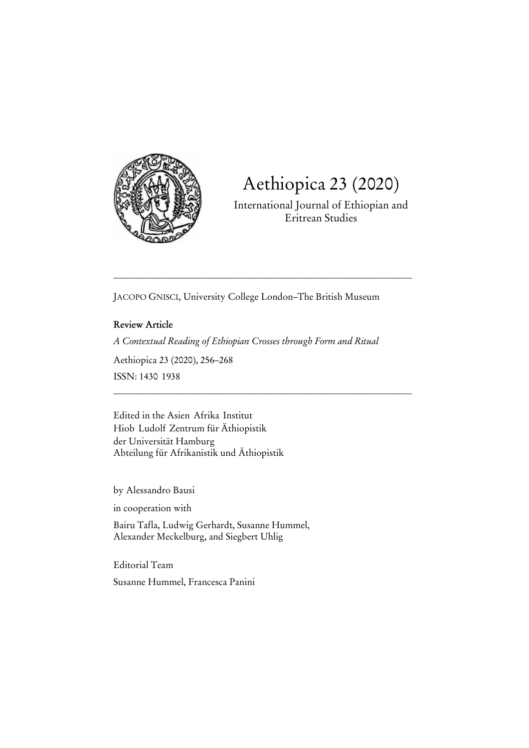

# Aethiopica 23 (2020)

International Journal of Ethiopian and Eritrean Studies

JACOPO GNISCI, University College London–The British Museum

\_\_\_\_\_\_\_\_\_\_\_\_\_\_\_\_\_\_\_\_\_\_\_\_\_\_\_\_\_\_\_\_\_\_\_\_\_\_\_\_\_\_\_\_\_\_\_\_\_\_\_\_\_\_\_\_\_\_\_\_\_\_\_\_

\_\_\_\_\_\_\_\_\_\_\_\_\_\_\_\_\_\_\_\_\_\_\_\_\_\_\_\_\_\_\_\_\_\_\_\_\_\_\_\_\_\_\_\_\_\_\_\_\_\_\_\_\_\_\_\_\_\_\_\_\_\_\_\_

**Review Article**  *A Contextual Reading of Ethiopian Crosses through Form and Ritual*  Aethiopica 23 (2020), 256–268 ISSN: 1430-1938

Edited in the Asien-Afrika-Institut Hiob-Ludolf-Zentrum für Äthiopistik der Universität Hamburg Abteilung für Afrikanistik und Äthiopistik

by Alessandro Bausi

in cooperation with

Bairu Tafla, Ludwig Gerhardt, Susanne Hummel, Alexander Meckelburg, and Siegbert Uhlig

Editorial Team Susanne Hummel, Francesca Panini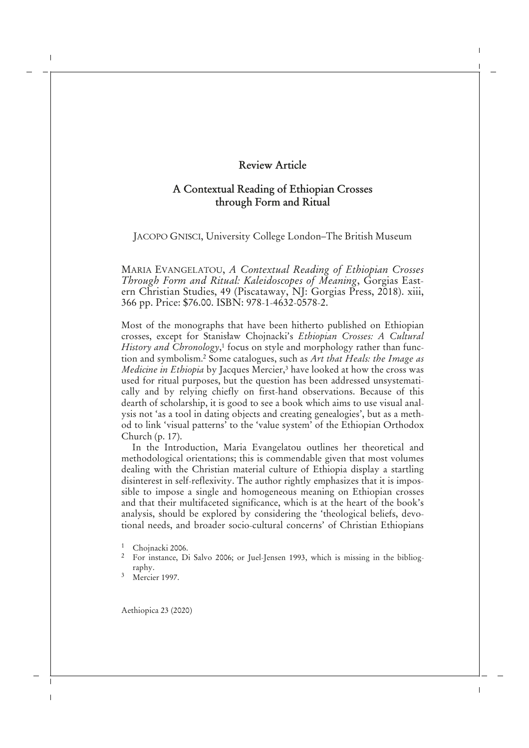# **A Contextual Reading of Ethiopian Crosses through Form and Ritual**

JACOPO GNISCI, University College London–The British Museum

MARIA EVANGELATOU, *A Contextual Reading of Ethiopian Crosses Through Form and Ritual: Kaleidoscopes of Meaning*, Gorgias Eastern Christian Studies, 49 (Piscataway, NJ: Gorgias Press, 2018). xiii, 366 pp. Price: \$76.00. ISBN: 978-1-4632-0578-2.

Most of the monographs that have been hitherto published on Ethiopian crosses, except for Stanisław Chojnacki's *Ethiopian Crosses: A Cultural History and Chronology*,<sup>1</sup> focus on style and morphology rather than function and symbolism.<sup>2</sup> Some catalogues, such as *Art that Heals: the Image as Medicine in Ethiopia* by Jacques Mercier,<sup>3</sup> have looked at how the cross was used for ritual purposes, but the question has been addressed unsystematically and by relying chiefly on first-hand observations. Because of this dearth of scholarship, it is good to see a book which aims to use visual analysis not 'as a tool in dating objects and creating genealogies', but as a method to link 'visual patterns' to the 'value system' of the Ethiopian Orthodox Church (p. 17).

In the Introduction, Maria Evangelatou outlines her theoretical and methodological orientations; this is commendable given that most volumes dealing with the Christian material culture of Ethiopia display a startling disinterest in self-reflexivity. The author rightly emphasizes that it is impossible to impose a single and homogeneous meaning on Ethiopian crosses and that their multifaceted significance, which is at the heart of the book's analysis, should be explored by considering the 'theological beliefs, devotional needs, and broader socio-cultural concerns' of Christian Ethiopians

<sup>&</sup>lt;sup>1</sup> Chojnacki 2006.

<sup>&</sup>lt;sup>2</sup> For instance, Di Salvo 2006; or Juel-Jensen 1993, which is missing in the bibliography.

<sup>3</sup> Mercier 1997.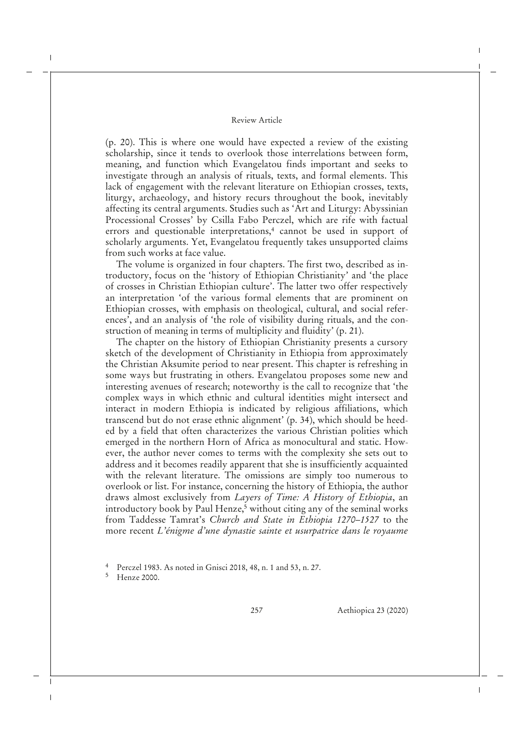(p. 20). This is where one would have expected a review of the existing scholarship, since it tends to overlook those interrelations between form, meaning, and function which Evangelatou finds important and seeks to investigate through an analysis of rituals, texts, and formal elements. This lack of engagement with the relevant literature on Ethiopian crosses, texts, liturgy, archaeology, and history recurs throughout the book, inevitably affecting its central arguments. Studies such as 'Art and Liturgy: Abyssinian Processional Crosses' by Csilla Fabo Perczel, which are rife with factual errors and questionable interpretations,<sup>4</sup> cannot be used in support of scholarly arguments. Yet, Evangelatou frequently takes unsupported claims from such works at face value.

The volume is organized in four chapters. The first two, described as introductory, focus on the 'history of Ethiopian Christianity' and 'the place of crosses in Christian Ethiopian culture'. The latter two offer respectively an interpretation 'of the various formal elements that are prominent on Ethiopian crosses, with emphasis on theological, cultural, and social references', and an analysis of 'the role of visibility during rituals, and the construction of meaning in terms of multiplicity and fluidity' (p. 21).

The chapter on the history of Ethiopian Christianity presents a cursory sketch of the development of Christianity in Ethiopia from approximately the Christian Aksumite period to near present. This chapter is refreshing in some ways but frustrating in others. Evangelatou proposes some new and interesting avenues of research; noteworthy is the call to recognize that 'the complex ways in which ethnic and cultural identities might intersect and interact in modern Ethiopia is indicated by religious affiliations, which transcend but do not erase ethnic alignment' (p. 34), which should be heeded by a field that often characterizes the various Christian polities which emerged in the northern Horn of Africa as monocultural and static. However, the author never comes to terms with the complexity she sets out to address and it becomes readily apparent that she is insufficiently acquainted with the relevant literature. The omissions are simply too numerous to overlook or list. For instance, concerning the history of Ethiopia, the author draws almost exclusively from *Layers of Time: A History of Ethiopia*, an introductory book by Paul Henze,<sup>5</sup> without citing any of the seminal works from Taddesse Tamrat's *Church and State in Ethiopia 1270–1527* to the more recent *L'énigme d'une dynastie sainte et usurpatrice dans le royaume*

<sup>4</sup> Perczel 1983. As noted in Gnisci 2018, 48, n. 1 and 53, n. 27.

<sup>5</sup> Henze 2000.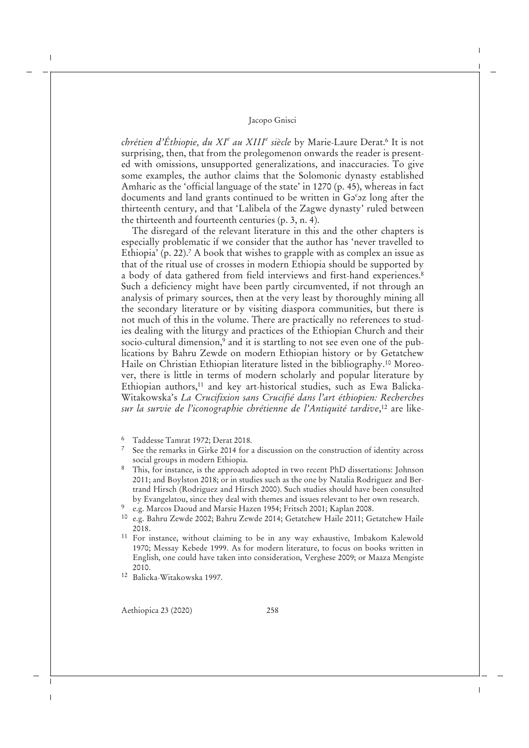*chrétien d'Éthiopie, du XI<sup>e</sup> au XIII<sup>e</sup> siècle* by Marie-Laure Derat.<sup>6</sup> It is not surprising, then, that from the prolegomenon onwards the reader is presented with omissions, unsupported generalizations, and inaccuracies. To give some examples, the author claims that the Solomonic dynasty established Amharic as the 'official language of the state' in 1270 (p. 45), whereas in fact documents and land grants continued to be written in Ga<sup>c</sup>az long after the thirteenth century, and that 'Lalibela of the Zagwe dynasty' ruled between the thirteenth and fourteenth centuries (p. 3, n. 4).

The disregard of the relevant literature in this and the other chapters is especially problematic if we consider that the author has 'never travelled to Ethiopia' (p. 22).<sup>7</sup> A book that wishes to grapple with as complex an issue as that of the ritual use of crosses in modern Ethiopia should be supported by a body of data gathered from field interviews and first-hand experiences.<sup>8</sup> Such a deficiency might have been partly circumvented, if not through an analysis of primary sources, then at the very least by thoroughly mining all the secondary literature or by visiting diaspora communities, but there is not much of this in the volume. There are practically no references to studies dealing with the liturgy and practices of the Ethiopian Church and their socio-cultural dimension,<sup>9</sup> and it is startling to not see even one of the publications by Bahru Zewde on modern Ethiopian history or by Getatchew Haile on Christian Ethiopian literature listed in the bibliography.<sup>10</sup> Moreover, there is little in terms of modern scholarly and popular literature by Ethiopian authors,<sup>11</sup> and key art-historical studies, such as Ewa Balicka-Witakowska's *La Crucifixion sans Crucifié dans l'art éthiopien: Recherches sur la survie de l'iconographie chrétienne de l'Antiquité tardive*, <sup>12</sup> are like-

- <sup>6</sup> Taddesse Tamrat 1972; Derat 2018.
- See the remarks in Girke 2014 for a discussion on the construction of identity across social groups in modern Ethiopia.
- <sup>8</sup> This, for instance, is the approach adopted in two recent PhD dissertations: Johnson 2011; and Boylston 2018; or in studies such as the one by Natalia Rodriguez and Bertrand Hirsch (Rodriguez and Hirsch 2000). Such studies should have been consulted by Evangelatou, since they deal with themes and issues relevant to her own research.
- 9 e.g. Marcos Daoud and Marsie Hazen 1954; Fritsch 2001; Kaplan 2008.
- <sup>10</sup> e.g. Bahru Zewde 2002; Bahru Zewde 2014; Getatchew Haile 2011; Getatchew Haile 2018.
- <sup>11</sup> For instance, without claiming to be in any way exhaustive, Imbakom Kalewold 1970; Messay Kebede 1999. As for modern literature, to focus on books written in English, one could have taken into consideration, Verghese 2009; or Maaza Mengiste 2010.
- <sup>12</sup> Balicka-Witakowska 1997.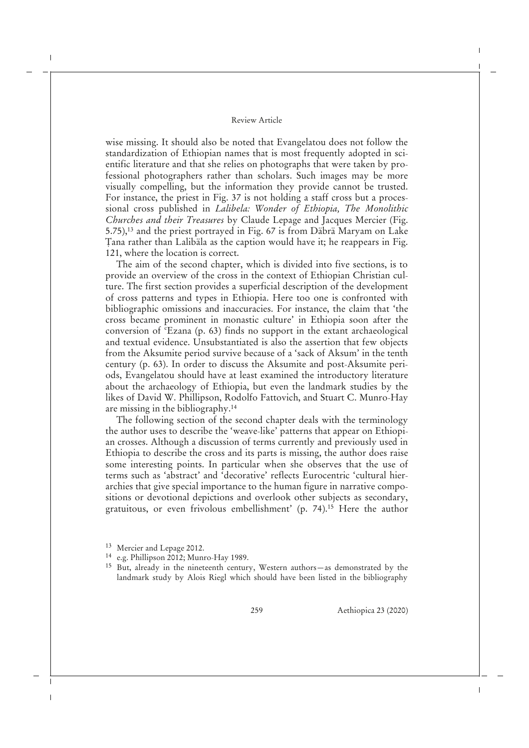wise missing. It should also be noted that Evangelatou does not follow the standardization of Ethiopian names that is most frequently adopted in scientific literature and that she relies on photographs that were taken by professional photographers rather than scholars. Such images may be more visually compelling, but the information they provide cannot be trusted. For instance, the priest in Fig. 37 is not holding a staff cross but a processional cross published in *Lalibela: Wonder of Ethiopia, The Monolithic Churches and their Treasures* by Claude Lepage and Jacques Mercier (Fig. 5.75),<sup>13</sup> and the priest portrayed in Fig. 67 is from Däbrä Maryam on Lake Ṭana rather than Lalibäla as the caption would have it; he reappears in Fig. 121, where the location is correct.

The aim of the second chapter, which is divided into five sections, is to provide an overview of the cross in the context of Ethiopian Christian culture. The first section provides a superficial description of the development of cross patterns and types in Ethiopia. Here too one is confronted with bibliographic omissions and inaccuracies. For instance, the claim that 'the cross became prominent in monastic culture' in Ethiopia soon after the conversion of ʿEzana (p. 63) finds no support in the extant archaeological and textual evidence. Unsubstantiated is also the assertion that few objects from the Aksumite period survive because of a 'sack of Aksum' in the tenth century (p. 63). In order to discuss the Aksumite and post-Aksumite periods, Evangelatou should have at least examined the introductory literature about the archaeology of Ethiopia, but even the landmark studies by the likes of David W. Phillipson, Rodolfo Fattovich, and Stuart C. Munro-Hay are missing in the bibliography.<sup>14</sup>

The following section of the second chapter deals with the terminology the author uses to describe the 'weave-like' patterns that appear on Ethiopian crosses. Although a discussion of terms currently and previously used in Ethiopia to describe the cross and its parts is missing, the author does raise some interesting points. In particular when she observes that the use of terms such as 'abstract' and 'decorative' reflects Eurocentric 'cultural hierarchies that give special importance to the human figure in narrative compositions or devotional depictions and overlook other subjects as secondary, gratuitous, or even frivolous embellishment' (p. 74).<sup>15</sup> Here the author

<sup>13</sup> Mercier and Lepage 2012.

<sup>14</sup> e.g. Phillipson 2012; Munro-Hay 1989.

<sup>15</sup> But, already in the nineteenth century, Western authors—as demonstrated by the landmark study by Alois Riegl which should have been listed in the bibliography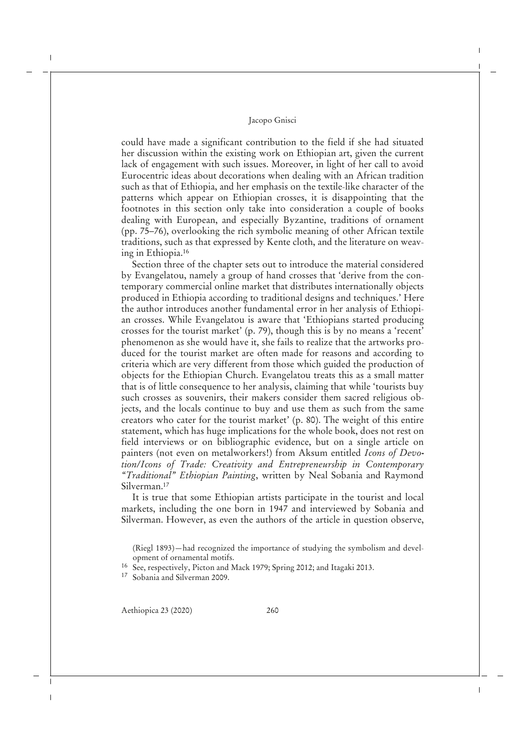could have made a significant contribution to the field if she had situated her discussion within the existing work on Ethiopian art, given the current lack of engagement with such issues. Moreover, in light of her call to avoid Eurocentric ideas about decorations when dealing with an African tradition such as that of Ethiopia, and her emphasis on the textile-like character of the patterns which appear on Ethiopian crosses, it is disappointing that the footnotes in this section only take into consideration a couple of books dealing with European, and especially Byzantine, traditions of ornament (pp. 75–76), overlooking the rich symbolic meaning of other African textile traditions, such as that expressed by Kente cloth, and the literature on weaving in Ethiopia.<sup>16</sup>

Section three of the chapter sets out to introduce the material considered by Evangelatou, namely a group of hand crosses that 'derive from the contemporary commercial online market that distributes internationally objects produced in Ethiopia according to traditional designs and techniques.' Here the author introduces another fundamental error in her analysis of Ethiopian crosses. While Evangelatou is aware that 'Ethiopians started producing crosses for the tourist market' (p. 79), though this is by no means a 'recent' phenomenon as she would have it, she fails to realize that the artworks produced for the tourist market are often made for reasons and according to criteria which are very different from those which guided the production of objects for the Ethiopian Church. Evangelatou treats this as a small matter that is of little consequence to her analysis, claiming that while 'tourists buy such crosses as souvenirs, their makers consider them sacred religious objects, and the locals continue to buy and use them as such from the same creators who cater for the tourist market' (p. 80). The weight of this entire statement, which has huge implications for the whole book, does not rest on field interviews or on bibliographic evidence, but on a single article on painters (not even on metalworkers!) from Aksum entitled *Icons of Devotion/Icons of Trade: Creativity and Entrepreneurship in Contemporary "Traditional" Ethiopian Painting*, written by Neal Sobania and Raymond Silverman.<sup>17</sup>

It is true that some Ethiopian artists participate in the tourist and local markets, including the one born in 1947 and interviewed by Sobania and Silverman. However, as even the authors of the article in question observe,

(Riegl 1893)—had recognized the importance of studying the symbolism and development of ornamental motifs.

<sup>16</sup> See, respectively, Picton and Mack 1979; Spring 2012; and Itagaki 2013.

<sup>17</sup> Sobania and Silverman 2009.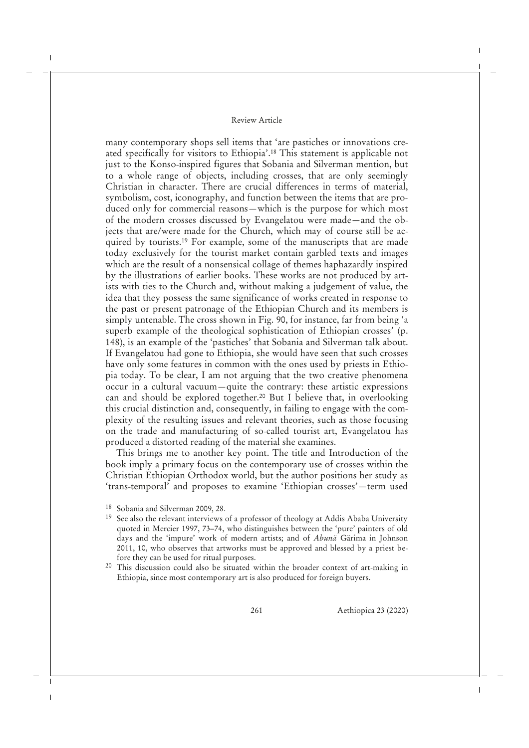many contemporary shops sell items that 'are pastiches or innovations created specifically for visitors to Ethiopia'.<sup>18</sup> This statement is applicable not just to the Konso-inspired figures that Sobania and Silverman mention, but to a whole range of objects, including crosses, that are only seemingly Christian in character. There are crucial differences in terms of material, symbolism, cost, iconography, and function between the items that are produced only for commercial reasons—which is the purpose for which most of the modern crosses discussed by Evangelatou were made—and the objects that are/were made for the Church, which may of course still be acquired by tourists.<sup>19</sup> For example, some of the manuscripts that are made today exclusively for the tourist market contain garbled texts and images which are the result of a nonsensical collage of themes haphazardly inspired by the illustrations of earlier books. These works are not produced by artists with ties to the Church and, without making a judgement of value, the idea that they possess the same significance of works created in response to the past or present patronage of the Ethiopian Church and its members is simply untenable. The cross shown in Fig. 90, for instance, far from being 'a superb example of the theological sophistication of Ethiopian crosses' (p. 148), is an example of the 'pastiches' that Sobania and Silverman talk about. If Evangelatou had gone to Ethiopia, she would have seen that such crosses have only some features in common with the ones used by priests in Ethiopia today. To be clear, I am not arguing that the two creative phenomena occur in a cultural vacuum—quite the contrary: these artistic expressions can and should be explored together.<sup>20</sup> But I believe that, in overlooking this crucial distinction and, consequently, in failing to engage with the complexity of the resulting issues and relevant theories, such as those focusing on the trade and manufacturing of so-called tourist art, Evangelatou has produced a distorted reading of the material she examines.

This brings me to another key point. The title and Introduction of the book imply a primary focus on the contemporary use of crosses within the Christian Ethiopian Orthodox world, but the author positions her study as 'trans-temporal' and proposes to examine 'Ethiopian crosses'—term used

<sup>18</sup> Sobania and Silverman 2009, 28.

- <sup>19</sup> See also the relevant interviews of a professor of theology at Addis Ababa University quoted in Mercier 1997, 73–74, who distinguishes between the 'pure' painters of old days and the 'impure' work of modern artists; and of *Abunä* Gärima in Johnson 2011, 10, who observes that artworks must be approved and blessed by a priest before they can be used for ritual purposes.
- <sup>20</sup> This discussion could also be situated within the broader context of art-making in Ethiopia, since most contemporary art is also produced for foreign buyers.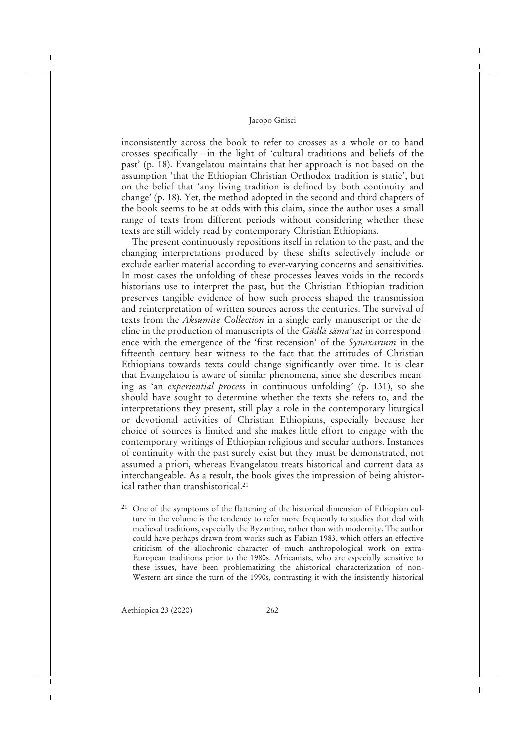inconsistently across the book to refer to crosses as a whole or to hand crosses specifically—in the light of 'cultural traditions and beliefs of the past' (p. 18). Evangelatou maintains that her approach is not based on the assumption 'that the Ethiopian Christian Orthodox tradition is static', but on the belief that 'any living tradition is defined by both continuity and change' (p. 18). Yet, the method adopted in the second and third chapters of the book seems to be at odds with this claim, since the author uses a small range of texts from different periods without considering whether these texts are still widely read by contemporary Christian Ethiopians.

The present continuously repositions itself in relation to the past, and the changing interpretations produced by these shifts selectively include or exclude earlier material according to ever-varying concerns and sensitivities. In most cases the unfolding of these processes leaves voids in the records historians use to interpret the past, but the Christian Ethiopian tradition preserves tangible evidence of how such process shaped the transmission and reinterpretation of written sources across the centuries. The survival of texts from the *Aksumite Collection* in a single early manuscript or the decline in the production of manuscripts of the *Gädlä sämaʿtat* in correspondence with the emergence of the 'first recension' of the *Synaxarium* in the fifteenth century bear witness to the fact that the attitudes of Christian Ethiopians towards texts could change significantly over time. It is clear that Evangelatou is aware of similar phenomena, since she describes meaning as 'an *experiential process* in continuous unfolding' (p. 131), so she should have sought to determine whether the texts she refers to, and the interpretations they present, still play a role in the contemporary liturgical or devotional activities of Christian Ethiopians, especially because her choice of sources is limited and she makes little effort to engage with the contemporary writings of Ethiopian religious and secular authors. Instances of continuity with the past surely exist but they must be demonstrated, not assumed a priori, whereas Evangelatou treats historical and current data as interchangeable. As a result, the book gives the impression of being ahistorical rather than transhistorical.<sup>21</sup>

<sup>21</sup> One of the symptoms of the flattening of the historical dimension of Ethiopian culture in the volume is the tendency to refer more frequently to studies that deal with medieval traditions, especially the Byzantine, rather than with modernity. The author could have perhaps drawn from works such as Fabian 1983, which offers an effective criticism of the allochronic character of much anthropological work on extra-European traditions prior to the 1980s. Africanists, who are especially sensitive to these issues, have been problematizing the ahistorical characterization of non-Western art since the turn of the 1990s, contrasting it with the insistently historical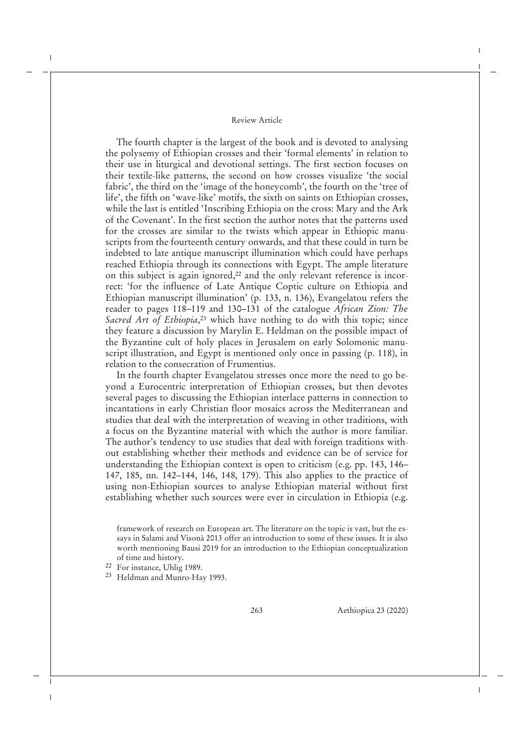The fourth chapter is the largest of the book and is devoted to analysing the polysemy of Ethiopian crosses and their 'formal elements' in relation to their use in liturgical and devotional settings. The first section focuses on their textile-like patterns, the second on how crosses visualize 'the social fabric', the third on the 'image of the honeycomb', the fourth on the 'tree of life', the fifth on 'wave-like' motifs, the sixth on saints on Ethiopian crosses, while the last is entitled 'Inscribing Ethiopia on the cross: Mary and the Ark of the Covenant'. In the first section the author notes that the patterns used for the crosses are similar to the twists which appear in Ethiopic manuscripts from the fourteenth century onwards, and that these could in turn be indebted to late antique manuscript illumination which could have perhaps reached Ethiopia through its connections with Egypt. The ample literature on this subject is again ignored,<sup>22</sup> and the only relevant reference is incorrect: 'for the influence of Late Antique Coptic culture on Ethiopia and Ethiopian manuscript illumination' (p. 133, n. 136), Evangelatou refers the reader to pages 118–119 and 130–131 of the catalogue *African Zion: The Sacred Art of Ethiopia*, <sup>23</sup> which have nothing to do with this topic; since they feature a discussion by Marylin E. Heldman on the possible impact of the Byzantine cult of holy places in Jerusalem on early Solomonic manuscript illustration, and Egypt is mentioned only once in passing (p. 118), in relation to the consecration of Frumentius.

In the fourth chapter Evangelatou stresses once more the need to go beyond a Eurocentric interpretation of Ethiopian crosses, but then devotes several pages to discussing the Ethiopian interlace patterns in connection to incantations in early Christian floor mosaics across the Mediterranean and studies that deal with the interpretation of weaving in other traditions, with a focus on the Byzantine material with which the author is more familiar. The author's tendency to use studies that deal with foreign traditions without establishing whether their methods and evidence can be of service for understanding the Ethiopian context is open to criticism (e.g. pp. 143, 146– 147, 185, nn. 142–144, 146, 148, 179). This also applies to the practice of using non-Ethiopian sources to analyse Ethiopian material without first establishing whether such sources were ever in circulation in Ethiopia (e.g.

framework of research on European art. The literature on the topic is vast, but the essays in Salami and Visonà 2013 offer an introduction to some of these issues. It is also worth mentioning Bausi 2019 for an introduction to the Ethiopian conceptualization of time and history.

- <sup>22</sup> For instance, Uhlig 1989.
- <sup>23</sup> Heldman and Munro-Hay 1993.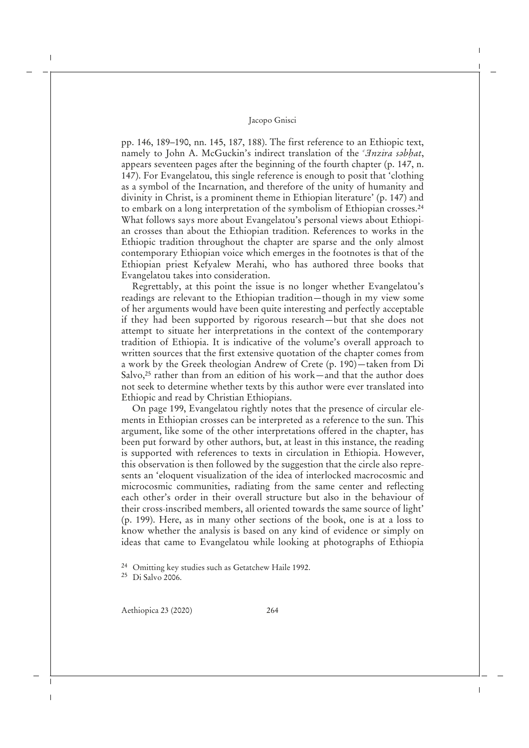pp. 146, 189–190, nn. 145, 187, 188). The first reference to an Ethiopic text, namely to John A. McGuckin's indirect translation of the *'Inzira sabhat*, appears seventeen pages after the beginning of the fourth chapter (p. 147, n. 147). For Evangelatou, this single reference is enough to posit that 'clothing as a symbol of the Incarnation, and therefore of the unity of humanity and divinity in Christ, is a prominent theme in Ethiopian literature' (p. 147) and to embark on a long interpretation of the symbolism of Ethiopian crosses.<sup>24</sup> What follows says more about Evangelatou's personal views about Ethiopian crosses than about the Ethiopian tradition. References to works in the Ethiopic tradition throughout the chapter are sparse and the only almost contemporary Ethiopian voice which emerges in the footnotes is that of the Ethiopian priest Kefyalew Merahi, who has authored three books that Evangelatou takes into consideration.

Regrettably, at this point the issue is no longer whether Evangelatou's readings are relevant to the Ethiopian tradition—though in my view some of her arguments would have been quite interesting and perfectly acceptable if they had been supported by rigorous research—but that she does not attempt to situate her interpretations in the context of the contemporary tradition of Ethiopia. It is indicative of the volume's overall approach to written sources that the first extensive quotation of the chapter comes from a work by the Greek theologian Andrew of Crete (p. 190)—taken from Di Salvo,<sup>25</sup> rather than from an edition of his work—and that the author does not seek to determine whether texts by this author were ever translated into Ethiopic and read by Christian Ethiopians.

On page 199, Evangelatou rightly notes that the presence of circular elements in Ethiopian crosses can be interpreted as a reference to the sun. This argument, like some of the other interpretations offered in the chapter, has been put forward by other authors, but, at least in this instance, the reading is supported with references to texts in circulation in Ethiopia. However, this observation is then followed by the suggestion that the circle also represents an 'eloquent visualization of the idea of interlocked macrocosmic and microcosmic communities, radiating from the same center and reflecting each other's order in their overall structure but also in the behaviour of their cross-inscribed members, all oriented towards the same source of light' (p. 199). Here, as in many other sections of the book, one is at a loss to know whether the analysis is based on any kind of evidence or simply on ideas that came to Evangelatou while looking at photographs of Ethiopia

<sup>24</sup> Omitting key studies such as Getatchew Haile 1992.

<sup>25</sup> Di Salvo 2006.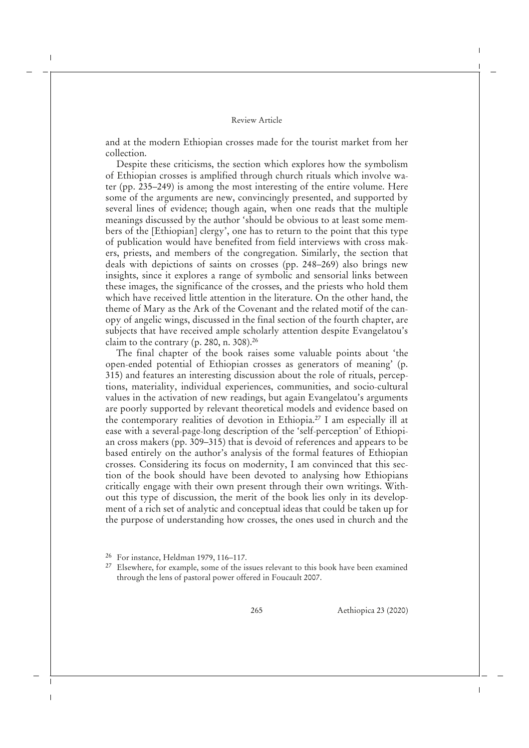and at the modern Ethiopian crosses made for the tourist market from her collection.

Despite these criticisms, the section which explores how the symbolism of Ethiopian crosses is amplified through church rituals which involve water (pp. 235–249) is among the most interesting of the entire volume. Here some of the arguments are new, convincingly presented, and supported by several lines of evidence; though again, when one reads that the multiple meanings discussed by the author 'should be obvious to at least some members of the [Ethiopian] clergy', one has to return to the point that this type of publication would have benefited from field interviews with cross makers, priests, and members of the congregation. Similarly, the section that deals with depictions of saints on crosses (pp. 248–269) also brings new insights, since it explores a range of symbolic and sensorial links between these images, the significance of the crosses, and the priests who hold them which have received little attention in the literature. On the other hand, the theme of Mary as the Ark of the Covenant and the related motif of the canopy of angelic wings, discussed in the final section of the fourth chapter, are subjects that have received ample scholarly attention despite Evangelatou's claim to the contrary (p. 280, n. 308).<sup>26</sup>

The final chapter of the book raises some valuable points about 'the open-ended potential of Ethiopian crosses as generators of meaning' (p. 315) and features an interesting discussion about the role of rituals, perceptions, materiality, individual experiences, communities, and socio-cultural values in the activation of new readings, but again Evangelatou's arguments are poorly supported by relevant theoretical models and evidence based on the contemporary realities of devotion in Ethiopia.<sup>27</sup> I am especially ill at ease with a several-page-long description of the 'self-perception' of Ethiopian cross makers (pp. 309–315) that is devoid of references and appears to be based entirely on the author's analysis of the formal features of Ethiopian crosses. Considering its focus on modernity, I am convinced that this section of the book should have been devoted to analysing how Ethiopians critically engage with their own present through their own writings. Without this type of discussion, the merit of the book lies only in its development of a rich set of analytic and conceptual ideas that could be taken up for the purpose of understanding how crosses, the ones used in church and the

<sup>26</sup> For instance, Heldman 1979, 116–117.

<sup>&</sup>lt;sup>27</sup> Elsewhere, for example, some of the issues relevant to this book have been examined through the lens of pastoral power offered in Foucault 2007.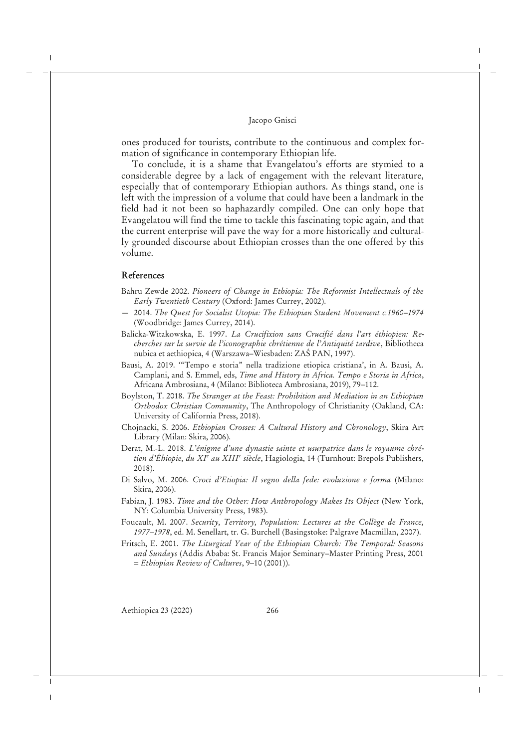ones produced for tourists, contribute to the continuous and complex formation of significance in contemporary Ethiopian life.

To conclude, it is a shame that Evangelatou's efforts are stymied to a considerable degree by a lack of engagement with the relevant literature, especially that of contemporary Ethiopian authors. As things stand, one is left with the impression of a volume that could have been a landmark in the field had it not been so haphazardly compiled. One can only hope that Evangelatou will find the time to tackle this fascinating topic again, and that the current enterprise will pave the way for a more historically and culturally grounded discourse about Ethiopian crosses than the one offered by this volume.

# **References**

- Bahru Zewde 2002. *Pioneers of Change in Ethiopia: The Reformist Intellectuals of the Early Twentieth Century* (Oxford: James Currey, 2002).
- 2014. *The Quest for Socialist Utopia: The Ethiopian Student Movement c.1960–1974* (Woodbridge: James Currey, 2014).
- Balicka-Witakowska, E. 1997. *La Crucifixion sans Crucifié dans l'art éthiopien: Recherches sur la survie de l'iconographie chrétienne de l'Antiquité tardive*, Bibliotheca nubica et aethiopica, 4 (Warszawa–Wiesbaden: ZAS PAN, 1997).
- Bausi, A. 2019. '"Tempo e storia" nella tradizione etiopica cristiana', in A. Bausi, A. Camplani, and S. Emmel, eds, *Time and History in Africa. Tempo e Storia in Africa*, Africana Ambrosiana, 4 (Milano: Biblioteca Ambrosiana, 2019), 79–112.
- Boylston, T. 2018. *The Stranger at the Feast: Prohibition and Mediation in an Ethiopian Orthodox Christian Community*, The Anthropology of Christianity (Oakland, CA: University of California Press, 2018).
- Chojnacki, S. 2006. *Ethiopian Crosses: A Cultural History and Chronology*, Skira Art Library (Milan: Skira, 2006).
- Derat, M.-L. 2018. *L'énigme d'une dynastie sainte et usurpatrice dans le royaume chrétien d'Éhiopie, du XI<sup>e</sup> au XIII<sup>e</sup> siècle*, Hagiologia, 14 (Turnhout: Brepols Publishers, 2018).
- Di Salvo, M. 2006. *Croci d'Etiopia: Il segno della fede: evoluzione e forma* (Milano: Skira, 2006).
- Fabian, J. 1983. *Time and the Other: How Anthropology Makes Its Object* (New York, NY: Columbia University Press, 1983).
- Foucault, M. 2007. *Security, Territory, Population: Lectures at the Collège de France, 1977–1978*, ed. M. Senellart, tr. G. Burchell (Basingstoke: Palgrave Macmillan, 2007).
- Fritsch, E. 2001. *The Liturgical Year of the Ethiopian Church: The Temporal: Seasons and Sundays* (Addis Ababa: St. Francis Major Seminary–Master Printing Press, 2001 = *Ethiopian Review of Cultures*, 9–10 (2001)).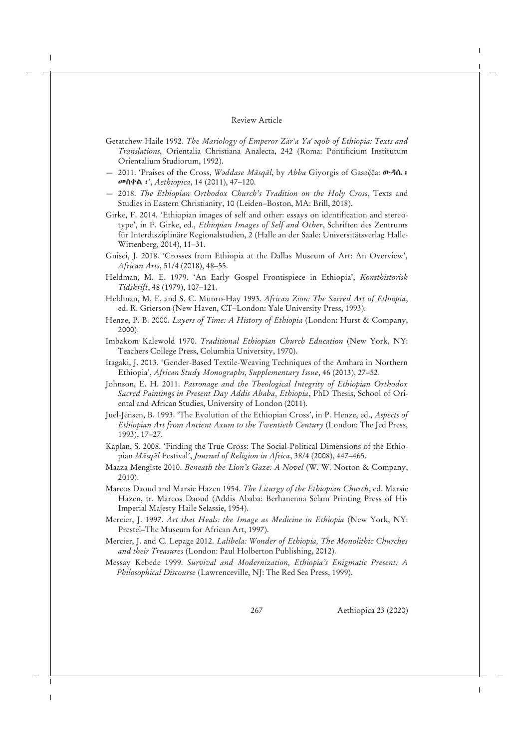- Getatchew Haile 1992. *The Mariology of Emperor Zärʾa Yaʿǝqob of Ethiopia: Texts and Translations*, Orientalia Christiana Analecta, 242 (Roma: Pontificium Institutum Orientalium Studiorum, 1992).
- 2011. 'Praises of the Cross, *Waddase Mäsqäl*, by Abba Giyorgis of Gasačča: **ውዳሴ**: መስቀል፡', *Aethiopica*, 14 (2011), 47–120.
- 2018. *The Ethiopian Orthodox Church's Tradition on the Holy Cross*, Texts and Studies in Eastern Christianity, 10 (Leiden–Boston, MA: Brill, 2018).
- Girke, F. 2014. 'Ethiopian images of self and other: essays on identification and stereotype', in F. Girke, ed., *Ethiopian Images of Self and Other*, Schriften des Zentrums für Interdisziplinäre Regionalstudien, 2 (Halle an der Saale: Universitätsverlag Halle-Wittenberg, 2014), 11–31.
- Gnisci, J. 2018. 'Crosses from Ethiopia at the Dallas Museum of Art: An Overview', *African Arts*, 51/4 (2018), 48–55.
- Heldman, M. E. 1979. 'An Early Gospel Frontispiece in Ethiopia', *Konsthistorisk Tidskrift*, 48 (1979), 107–121.
- Heldman, M. E. and S. C. Munro-Hay 1993. *African Zion: The Sacred Art of Ethiopia*, ed. R. Grierson (New Haven, CT–London: Yale University Press, 1993).
- Henze, P. B. 2000. *Layers of Time: A History of Ethiopia* (London: Hurst & Company, 2000).
- Imbakom Kalewold 1970. *Traditional Ethiopian Church Education* (New York, NY: Teachers College Press, Columbia University, 1970).
- Itagaki, J. 2013. 'Gender-Based Textile-Weaving Techniques of the Amhara in Northern Ethiopia', *African Study Monographs, Supplementary Issue*, 46 (2013), 27–52.
- Johnson, E. H. 2011. *Patronage and the Theological Integrity of Ethiopian Orthodox Sacred Paintings in Present Day Addis Ababa, Ethiopia*, PhD Thesis, School of Oriental and African Studies, University of London (2011).
- Juel-Jensen, B. 1993. 'The Evolution of the Ethiopian Cross', in P. Henze, ed., *Aspects of Ethiopian Art from Ancient Axum to the Twentieth Century* (London: The Jed Press, 1993), 17–27.
- Kaplan, S. 2008. 'Finding the True Cross: The Social-Political Dimensions of the Ethiopian *Mäsqäl* Festival', *Journal of Religion in Africa*, 38/4 (2008), 447–465.
- Maaza Mengiste 2010. *Beneath the Lion's Gaze: A Novel* (W. W. Norton & Company, 2010).
- Marcos Daoud and Marsie Hazen 1954. *The Liturgy of the Ethiopian Church*, ed. Marsie Hazen, tr. Marcos Daoud (Addis Ababa: Berhanenna Selam Printing Press of His Imperial Majesty Haile Selassie, 1954).
- Mercier, J. 1997. *Art that Heals: the Image as Medicine in Ethiopia* (New York, NY: Prestel–The Museum for African Art, 1997).
- Mercier, J. and C. Lepage 2012. *Lalibela: Wonder of Ethiopia, The Monolithic Churches and their Treasures* (London: Paul Holberton Publishing, 2012).
- Messay Kebede 1999. *Survival and Modernization, Ethiopia's Enigmatic Present: A Philosophical Discourse* (Lawrenceville, NJ: The Red Sea Press, 1999).